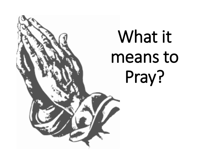

# What it means to Pray?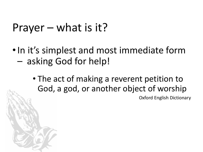## Prayer – what is it?

- In it's simplest and most immediate form – asking God for help!
	- The act of making a reverent petition to God, a god, or another object of worship

Oxford English Dictionary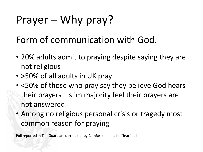## Prayer – Why pray?

### Form of communication with God.

- 20% adults admit to praying despite saying they are not religious
- >50% of all adults in UK pray
- <50% of those who pray say they believe God hears their prayers – slim majority feel their prayers are not answered
- Among no religious personal crisis or tragedy most common reason for praying

Poll reported in The Guardian, carried out by ComRes on behalf of Tearfund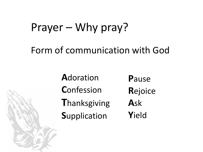## Prayer – Why pray?

#### Form of communication with God



**A**doration **C**onfession **T**hanksgiving **S**upplication **P**ause **R**ejoice **A**sk **Y**ield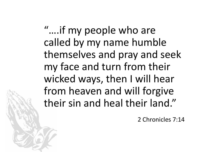"….if my people who are called by my name humble themselves and pray and seek my face and turn from their wicked ways, then I will hear from heaven and will forgive their sin and heal their land."

2 Chronicles 7:14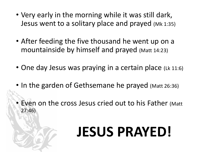- Very early in the morning while it was still dark, Jesus went to a solitary place and prayed (Mk 1:35)
- After feeding the five thousand he went up on a mountainside by himself and prayed (Matt 14:23)
- One day Jesus was praying in a certain place (Lk 11:6)
- In the garden of Gethsemane he prayed (Matt 26:36)
- Even on the cross Jesus cried out to his Father (Matt 27:46)

## **JESUS PRAYED!**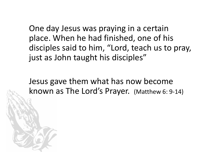One day Jesus was praying in a certain place. When he had finished, one of his disciples said to him, "Lord, teach us to pray, just as John taught his disciples"

Jesus gave them what has now become known as The Lord's Prayer. (Matthew 6: 9-14)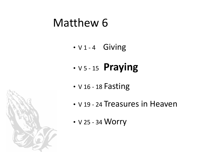## Matthew 6

- V 1 4 Giving
- $\vee$  5 15 **Praying**
- $\vee$  16 18 Fasting
- V 19 24 Treasures in Heaven
- V 25 34 Worry

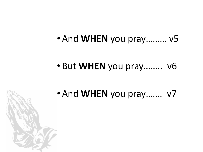• And **WHEN** you pray……… v5

• But **WHEN** you pray…….. v6

• And **WHEN** you pray……. v7

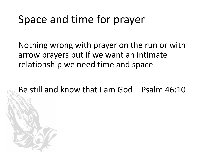## Space and time for prayer

Nothing wrong with prayer on the run or with arrow prayers but if we want an intimate relationship we need time and space

Be still and know that I am God – Psalm 46:10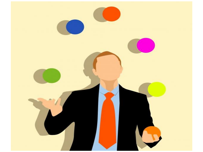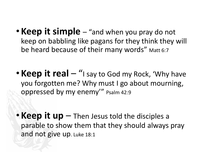- **Keep it simple**  "and when you pray do not keep on babbling like pagans for they think they will be heard because of their many words" Matt 6:7
- **Keep it real** "I say to God my Rock, 'Why have you forgotten me? Why must I go about mourning, oppressed by my enemy'" Psalm 42:9

• **Keep it up** – Then Jesus told the disciples a parable to show them that they should always pray and not give up. Luke 18:1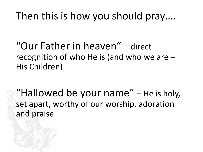## Then this is how you should pray….

"Our Father in heaven" – direct recognition of who He is (and who we are – His Children)

"Hallowed be your name" – He is holy, set apart, worthy of our worship, adoration and praise

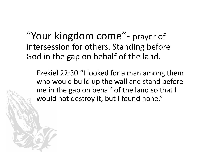"Your kingdom come"- prayer of intersession for others. Standing before God in the gap on behalf of the land.

Ezekiel 22:30 "I looked for a man among them who would build up the wall and stand before me in the gap on behalf of the land so that I would not destroy it, but I found none."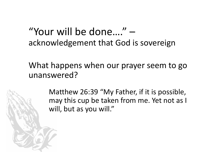"Your will be done…." – acknowledgement that God is sovereign

What happens when our prayer seem to go unanswered?

> Matthew 26:39 "My Father, if it is possible, may this cup be taken from me. Yet not as I will, but as you will."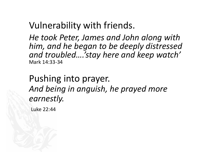#### Vulnerability with friends.

*He took Peter, James and John along with him, and he began to be deeply distressed and troubled….'stay here and keep watch'* Mark 14:33-34

Pushing into prayer. *And being in anguish, he prayed more earnestly.*

Luke 22:44

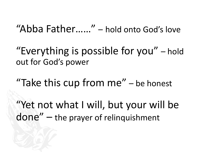"Abba Father……" – hold onto God's love

"Everything is possible for you" – hold out for God's power

"Take this cup from me" – be honest

"Yet not what I will, but your will be done" – the prayer of relinquishment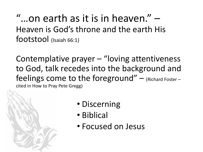"…on earth as it is in heaven." – Heaven is God's throne and the earth His footstool (Isaiah 66:1)

Contemplative prayer – "loving attentiveness to God, talk recedes into the background and feelings come to the foreground" - (Richard Foster cited in How to Pray Pete Gregg)

- Discerning
- Biblical
- Focused on Jesus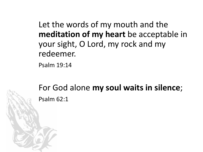Let the words of my mouth and the **meditation of my heart** be acceptable in your sight, O Lord, my rock and my redeemer.

Psalm 19:14

For God alone **my soul waits in silence**; Psalm 62:1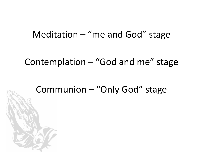#### Meditation  $-$  "me and God" stage

#### Contemplation – "God and me" stage

### Communion – "Only God" stage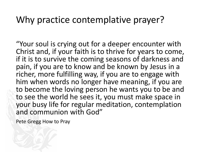#### Why practice contemplative prayer?

"Your soul is crying out for a deeper encounter with Christ and, if your faith is to thrive for years to come, if it is to survive the coming seasons of darkness and pain, if you are to know and be known by Jesus in a richer, more fulfilling way, if you are to engage with him when words no longer have meaning, if you are to become the loving person he wants you to be and to see the world he sees it, you must make space in your busy life for regular meditation, contemplation and communion with God"

Pete Gregg How to Pray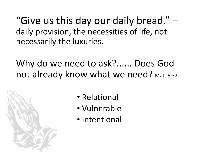"Give us this day our daily bread." – daily provision, the necessities of life, not necessarily the luxuries.

Why do we need to ask?...... Does God not already know what we need? Matt 6:32



- Relational
- Vulnerable
- Intentional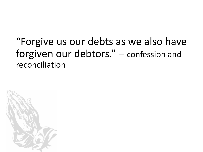## "Forgive us our debts as we also have forgiven our debtors." – confession and reconciliation

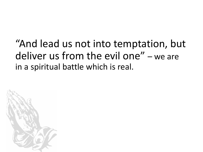## "And lead us not into temptation, but deliver us from the evil one" – we are in a spiritual battle which is real.

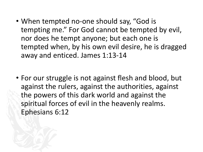- When tempted no-one should say, "God is tempting me." For God cannot be tempted by evil, nor does he tempt anyone; but each one is tempted when, by his own evil desire, he is dragged away and enticed. James 1:13-14
- For our struggle is not against flesh and blood, but against the rulers, against the authorities, against the powers of this dark world and against the spiritual forces of evil in the heavenly realms. Ephesians 6:12

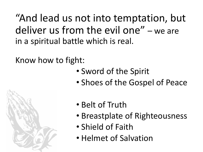"And lead us not into temptation, but deliver us from the evil one" – we are in a spiritual battle which is real.

Know how to fight:

- Sword of the Spirit
- Shoes of the Gospel of Peace



- Belt of Truth
- Breastplate of Righteousness
- Shield of Faith
- Helmet of Salvation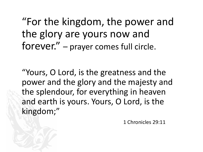"For the kingdom, the power and the glory are yours now and forever." – prayer comes full circle.

"Yours, O Lord, is the greatness and the power and the glory and the majesty and the splendour, for everything in heaven and earth is yours. Yours, O Lord, is the kingdom;"

1 Chronicles 29:11

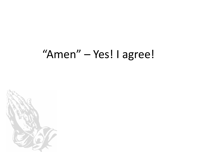## "Amen" – Yes! I agree!